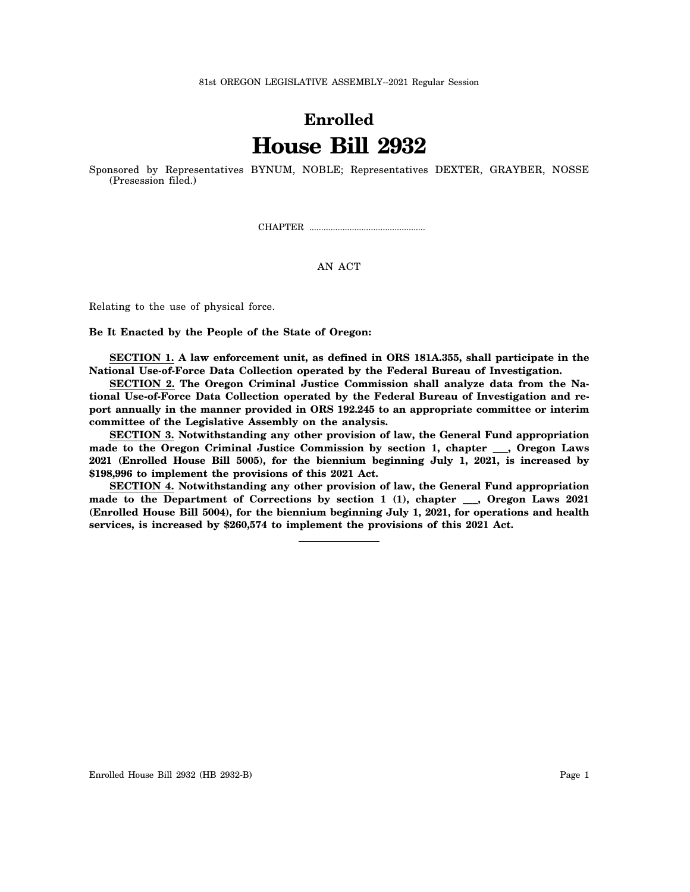81st OREGON LEGISLATIVE ASSEMBLY--2021 Regular Session

## **Enrolled House Bill 2932**

Sponsored by Representatives BYNUM, NOBLE; Representatives DEXTER, GRAYBER, NOSSE (Presession filed.)

CHAPTER .................................................

## AN ACT

Relating to the use of physical force.

## **Be It Enacted by the People of the State of Oregon:**

**SECTION 1. A law enforcement unit, as defined in ORS 181A.355, shall participate in the National Use-of-Force Data Collection operated by the Federal Bureau of Investigation.**

**SECTION 2. The Oregon Criminal Justice Commission shall analyze data from the National Use-of-Force Data Collection operated by the Federal Bureau of Investigation and report annually in the manner provided in ORS 192.245 to an appropriate committee or interim committee of the Legislative Assembly on the analysis.**

**SECTION 3. Notwithstanding any other provision of law, the General Fund appropriation made to the Oregon Criminal Justice Commission by section 1, chapter \_\_\_, Oregon Laws 2021 (Enrolled House Bill 5005), for the biennium beginning July 1, 2021, is increased by \$198,996 to implement the provisions of this 2021 Act.**

**SECTION 4. Notwithstanding any other provision of law, the General Fund appropriation made to the Department of Corrections by section 1 (1), chapter \_\_\_, Oregon Laws 2021 (Enrolled House Bill 5004), for the biennium beginning July 1, 2021, for operations and health services, is increased by \$260,574 to implement the provisions of this 2021 Act.**